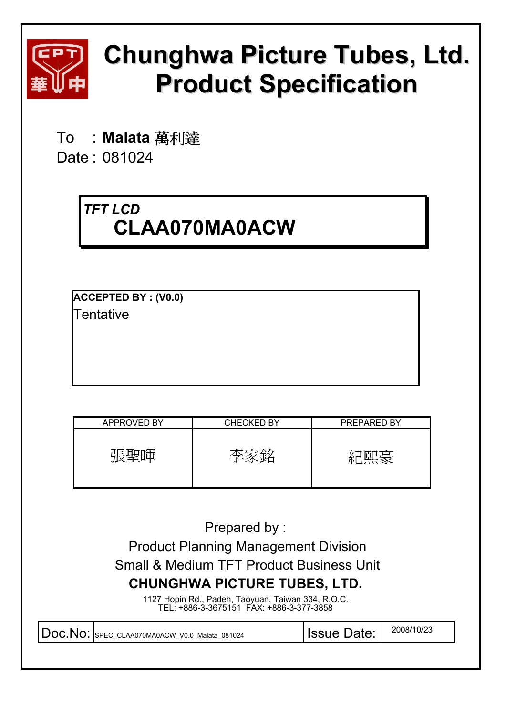

# **Chunghwa Picture Tubes, Ltd. Product Specification**

To : Malata 萬利達

Date : 081024

## *TFT LCD*  **CLAA070MA0ACW**

**ACCEPTED BY : (V0.0) Tentative** 

| APPROVED BY | <b>CHECKED BY</b> | PREPARED BY |
|-------------|-------------------|-------------|
|             |                   |             |

Prepared by : Product Planning Management Division Small & Medium TFT Product Business Unit **CHUNGHWA PICTURE TUBES, LTD.** 

1127 Hopin Rd., Padeh, Taoyuan, Taiwan 334, R.O.C. TEL: +886-3-3675151 FAX: +886-3-377-3858

| <b>Issue Date:</b> | 2008/10/23 |
|--------------------|------------|
|                    |            |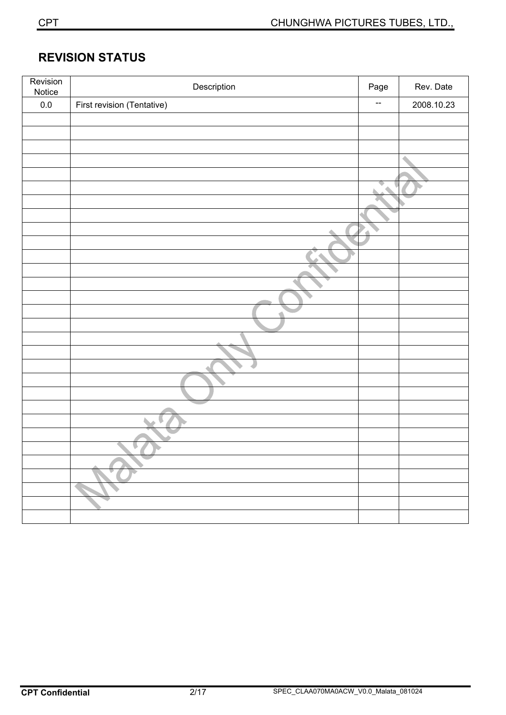## **REVISION STATUS**

| Revision<br>Notice | Description                | Page | Rev. Date  |
|--------------------|----------------------------|------|------------|
| $0.0\,$            | First revision (Tentative) | --   | 2008.10.23 |
|                    |                            |      |            |
|                    |                            |      |            |
|                    |                            |      |            |
|                    |                            |      |            |
|                    |                            |      |            |
|                    |                            |      |            |
|                    |                            |      |            |
|                    |                            |      |            |
|                    |                            |      |            |
|                    |                            |      |            |
|                    |                            |      |            |
|                    |                            |      |            |
|                    |                            |      |            |
|                    |                            |      |            |
|                    | ۸                          |      |            |
|                    |                            |      |            |
|                    |                            |      |            |
|                    |                            |      |            |
|                    |                            |      |            |
|                    |                            |      |            |
|                    |                            |      |            |
|                    |                            |      |            |
|                    |                            |      |            |
|                    | ٠                          |      |            |
|                    |                            |      |            |
|                    |                            |      |            |
|                    |                            |      |            |
|                    |                            |      |            |
|                    |                            |      |            |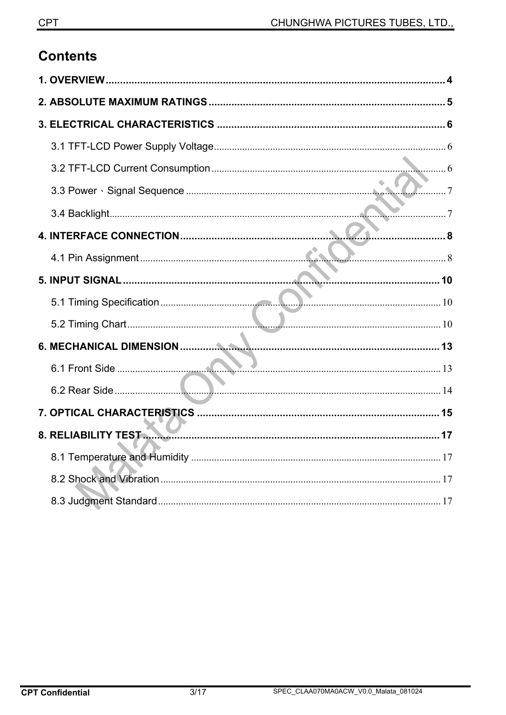## **Contents**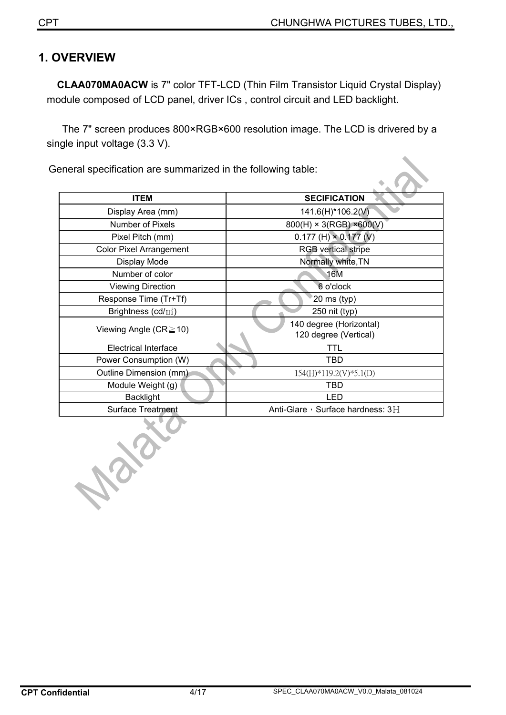### **1. OVERVIEW**ʳ

**CLAA070MA0ACW** is 7" color TFT-LCD (Thin Film Transistor Liquid Crystal Display) module composed of LCD panel, driver ICs , control circuit and LED backlight.

The 7" screen produces 800×RGB×600 resolution image. The LCD is drivered by a single input voltage (3.3 V).

General specification are summarized in the following table:

Japan

| <b>ITEM</b>                    | <b>SECIFICATION</b>                              |
|--------------------------------|--------------------------------------------------|
| Display Area (mm)              | 141.6(H)*106.2(V)                                |
| Number of Pixels               | $800(H) \times 3(RGB) \times 600(V)$             |
| Pixel Pitch (mm)               | $0.177$ (H) $\times$ 0.177 (V)                   |
| <b>Color Pixel Arrangement</b> | <b>RGB</b> vertical stripe                       |
| Display Mode                   | Normally white, TN                               |
| Number of color                | 16M                                              |
| <b>Viewing Direction</b>       | 6 o'clock                                        |
| Response Time (Tr+Tf)          | 20 ms (typ)                                      |
| Brightness (cd/ $m2$ )         | 250 nit (typ)                                    |
| Viewing Angle ( $CR \ge 10$ )  | 140 degree (Horizontal)<br>120 degree (Vertical) |
| <b>Electrical Interface</b>    | TTL                                              |
| Power Consumption (W)          | TBD                                              |
| Outline Dimension (mm)         | 154(H)*119.2(V)*5.1(D)                           |
| Module Weight (g)              | TBD                                              |
| <b>Backlight</b>               | LED                                              |
| <b>Surface Treatment</b>       | Anti-Glare, Surface hardness: 3H                 |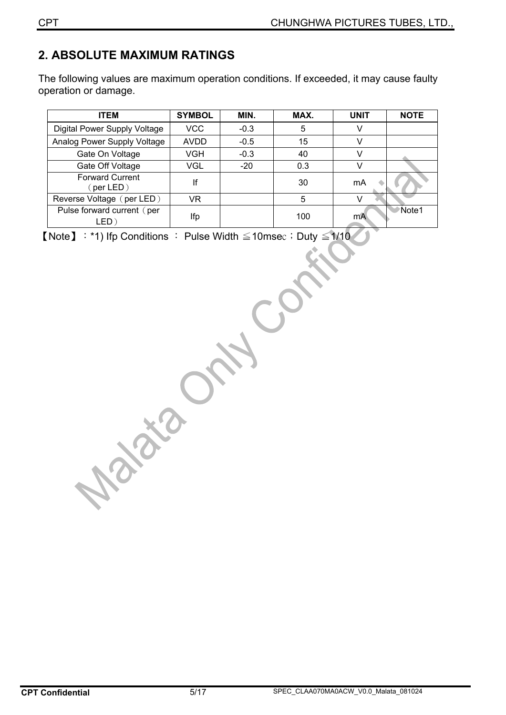## **2. ABSOLUTE MAXIMUM RATINGS**

The following values are maximum operation conditions. If exceeded, it may cause faulty operation or damage.

| <b>ITEM</b>                                  | <b>SYMBOL</b> | MIN.   | MAX. | <b>UNIT</b> | <b>NOTE</b> |
|----------------------------------------------|---------------|--------|------|-------------|-------------|
| Digital Power Supply Voltage                 | <b>VCC</b>    | $-0.3$ | 5    |             |             |
| Analog Power Supply Voltage                  | <b>AVDD</b>   | $-0.5$ | 15   |             |             |
| Gate On Voltage                              | <b>VGH</b>    | $-0.3$ | 40   |             |             |
| Gate Off Voltage                             | <b>VGL</b>    | $-20$  | 0.3  |             |             |
| <b>Forward Current</b><br>$\text{per LED}$ ) | lf            |        | 30   | mA          |             |
| Reverse Voltage (per LED)                    | VR            |        | 5    |             |             |
| Pulse forward current (per<br>LED`           | Ifp           |        | 100  | mA          | 'Note1      |

**[Note]** : \*1) Ifp Conditions : Pulse Width ≤10msec : Duty ≤1/10

Jane of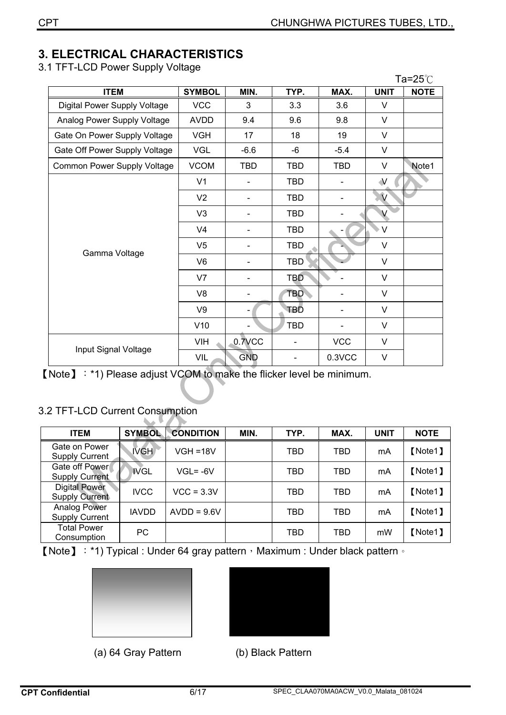#### **3. ELECTRICAL CHARACTERISTICS**

3.1 TFT-LCD Power Supply Voltage

|                               |                |                              |                          |            |             | Ta=25 $\degree$ C |
|-------------------------------|----------------|------------------------------|--------------------------|------------|-------------|-------------------|
| <b>ITEM</b>                   | <b>SYMBOL</b>  | MIN.                         | TYP.                     | MAX.       | <b>UNIT</b> | <b>NOTE</b>       |
| Digital Power Supply Voltage  | <b>VCC</b>     | 3                            | 3.3                      | 3.6        | V           |                   |
| Analog Power Supply Voltage   | <b>AVDD</b>    | 9.4                          | 9.6                      | 9.8        | $\vee$      |                   |
| Gate On Power Supply Voltage  | <b>VGH</b>     | 17                           | 18                       | 19         | $\vee$      |                   |
| Gate Off Power Supply Voltage | <b>VGL</b>     | $-6.6$                       | $-6$                     | $-5.4$     | V           |                   |
| Common Power Supply Voltage   | <b>VCOM</b>    | <b>TBD</b>                   | <b>TBD</b>               | <b>TBD</b> | V           | Note1             |
|                               | V <sub>1</sub> |                              | <b>TBD</b>               |            | $\sqrt{ }$  |                   |
|                               | V <sub>2</sub> | $\qquad \qquad \blacksquare$ | <b>TBD</b>               |            | $\hat{V}$   |                   |
|                               | V <sub>3</sub> | $\qquad \qquad \blacksquare$ | <b>TBD</b>               |            | V           |                   |
|                               | V <sub>4</sub> |                              | <b>TBD</b>               |            | $\vee$      |                   |
|                               | V <sub>5</sub> |                              | <b>TBD</b>               |            | $\vee$      |                   |
| Gamma Voltage                 | V <sub>6</sub> |                              | <b>TBD</b>               |            | $\vee$      |                   |
|                               | V7             |                              | <b>TBD</b>               |            | $\vee$      |                   |
|                               | V8             |                              | <b>TBD</b>               |            | $\vee$      |                   |
|                               | V9             | $\blacksquare$               | <b>TBD</b>               |            | V           |                   |
|                               | V10            |                              | <b>TBD</b>               |            | V           |                   |
|                               | <b>VIH</b>     | 0.7VCC                       | $\overline{\phantom{0}}$ | <b>VCC</b> | V           |                   |
| Input Signal Voltage          | VIL            | <b>GND</b>                   |                          | 0.3VCC     | V           |                   |

[Note] : \*1) Please adjust VCOM to make the flicker level be minimum.

#### 3.2 TFT-LCD Current Consumption

A. M. A.

| <b>ITEM</b>                                   | <b>SYMBOL</b> | <b>CONDITION</b> | MIN. | TYP.       | MAX. | <b>UNIT</b> | <b>NOTE</b> |
|-----------------------------------------------|---------------|------------------|------|------------|------|-------------|-------------|
| Gate on Power<br><b>Supply Current</b>        | <b>IVGH</b>   | $VGH = 18V$      |      | <b>TBD</b> | TBD  | mA          | 【Note1】     |
| Gate off Power<br><b>Supply Current</b>       | <b>IVGL</b>   | $VGL = -6V$      |      | TBD        | TBD  | mA          | 【Note1】     |
| <b>Digital Power</b><br><b>Supply Current</b> | <b>IVCC</b>   | $VCC = 3.3V$     |      | <b>TBD</b> | TBD  | mA          | [Note1]     |
| <b>Analog Power</b><br><b>Supply Current</b>  | <b>IAVDD</b>  | $AVDD = 9.6V$    |      | <b>TBD</b> | TBD  | mA          | 【Note1】     |
| <b>Total Power</b><br>Consumption             | PС            |                  |      | <b>TBD</b> | TBD  | mW          | [Note1]     |

[Note] : \*1) Typical : Under 64 gray pattern · Maximum : Under black pattern ·



ʳʳʳʳʳʳʳʳʳʳʳʳʳʳʳ (a) 64 Gray Pattern (b) Black Pattern

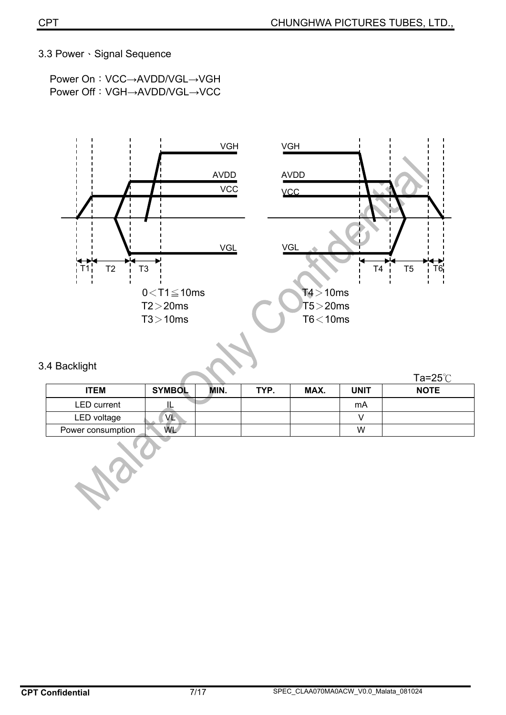3.3 Power · Signal Sequence

```
Power On: VCC→AVDD/VGL→VGH
Power Off: VGH→AVDD/VGL→VCC
```


#### 3.4 Backlight

|                    |               |      |      |      |             | Ta= $25^{\circ}$ C |
|--------------------|---------------|------|------|------|-------------|--------------------|
| <b>ITEM</b>        | <b>SYMBOL</b> | MIN. | TYP. | MAX. | <b>UNIT</b> | <b>NOTE</b>        |
| <b>LED</b> current | ┶             |      |      |      | mA          |                    |
| LED voltage        | VĿ            |      |      |      |             |                    |
| Power consumption  | <b>WL</b>     |      |      |      | W           |                    |
|                    |               |      |      |      |             |                    |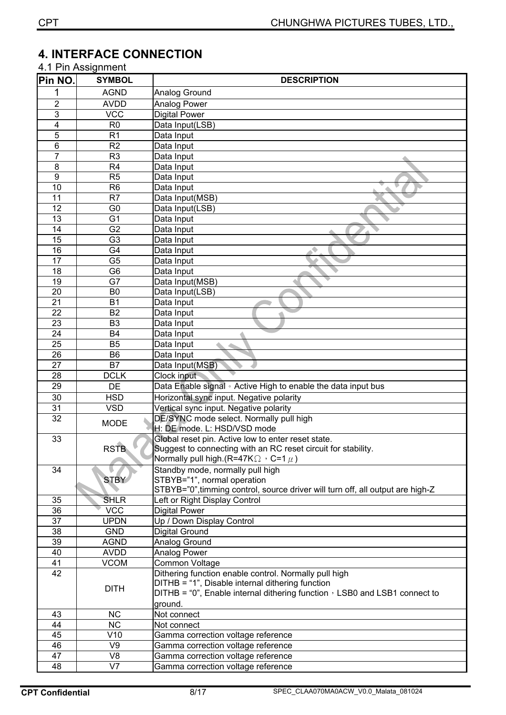## **4. INTERFACE CONNECTION**

#### 4.1 Pin Assignment

| Pin NO.         | <b>SYMBOL</b>    | <b>DESCRIPTION</b>                                                               |
|-----------------|------------------|----------------------------------------------------------------------------------|
| 1               | <b>AGND</b>      | <b>Analog Ground</b>                                                             |
| $\overline{2}$  | <b>AVDD</b>      | Analog Power                                                                     |
| 3               | <b>VCC</b>       | Digital Power                                                                    |
| 4               | R <sub>0</sub>   | Data Input(LSB)                                                                  |
| 5               | R <sub>1</sub>   | Data Input                                                                       |
| 6               | R2               | Data Input                                                                       |
| 7               | R <sub>3</sub>   | Data Input                                                                       |
| 8               | R <sub>4</sub>   | Data Input                                                                       |
| 9               | R <sub>5</sub>   | Data Input                                                                       |
| 10              | R <sub>6</sub>   | Data Input                                                                       |
| 11              | R7               | Data Input(MSB)                                                                  |
| 12              | G <sub>0</sub>   | Data Input(LSB)                                                                  |
| 13              | G <sub>1</sub>   | Data Input                                                                       |
| 14              | G <sub>2</sub>   | Data Input                                                                       |
| 15              | G <sub>3</sub>   | Data Input                                                                       |
| 16              | G4               | Data Input                                                                       |
| $\overline{17}$ | G <sub>5</sub>   | Data Input                                                                       |
| 18              | G <sub>6</sub>   | Data Input                                                                       |
| $\overline{19}$ | G7               | Data Input(MSB)                                                                  |
| 20              | B <sub>0</sub>   | Data Input(LSB)                                                                  |
| $\overline{21}$ | <b>B1</b>        | Data Input                                                                       |
| $\overline{22}$ | <b>B2</b>        | Data Input                                                                       |
| 23              | B <sub>3</sub>   | Data Input                                                                       |
| $\overline{24}$ | <b>B4</b>        | Data Input                                                                       |
| 25              | B <sub>5</sub>   | Data Input                                                                       |
| 26              | B <sub>6</sub>   | Data Input                                                                       |
| 27              | B7               | Data Input(MSB)                                                                  |
| 28              | <b>DCLK</b>      | Clock input                                                                      |
| 29              | DE               | Data Enable signal • Active High to enable the data input bus                    |
| 30              | <b>HSD</b>       | Horizontal sync input. Negative polarity                                         |
| $\overline{31}$ | <b>VSD</b>       | Vertical sync input. Negative polarity                                           |
| 32              | <b>MODE</b>      | DE/SYNC mode select. Normally pull high<br>H: DE mode. L: HSD/VSD mode           |
| 33              |                  | Global reset pin. Active low to enter reset state.                               |
|                 | <b>RSTB</b>      | Suggest to connecting with an RC reset circuit for stability.                    |
|                 |                  | Normally pull high. (R=47K $\Omega$ , C=1 $\mu$ )                                |
| 34              |                  | Standby mode, normally pull high                                                 |
|                 | <b>STBY</b>      | STBYB="1", normal operation                                                      |
|                 |                  | STBYB="0", timming control, source driver will turn off, all output are high-Z   |
| 35              | <b>SHLR</b>      | Left or Right Display Control                                                    |
| $\overline{36}$ | $\overline{VCC}$ | <b>Digital Power</b>                                                             |
| 37              | <b>UPDN</b>      | Up / Down Display Control                                                        |
| 38              | <b>GND</b>       | Digital Ground                                                                   |
| 39              | <b>AGND</b>      | Analog Ground                                                                    |
| 40              | <b>AVDD</b>      | Analog Power                                                                     |
| 41              | <b>VCOM</b>      | Common Voltage                                                                   |
| 42              |                  | Dithering function enable control. Normally pull high                            |
|                 |                  | DITHB = "1", Disable internal dithering function                                 |
|                 | <b>DITH</b>      | DITHB = "0", Enable internal dithering function $\cdot$ LSB0 and LSB1 connect to |
|                 |                  | ground.                                                                          |
| 43              | <b>NC</b>        | Not connect                                                                      |
| 44              | <b>NC</b>        | Not connect                                                                      |
| 45              | V10              | Gamma correction voltage reference                                               |
| 46              | V9               | Gamma correction voltage reference                                               |
| 47              | V8               | Gamma correction voltage reference                                               |
| 48              | V <sub>7</sub>   | Gamma correction voltage reference                                               |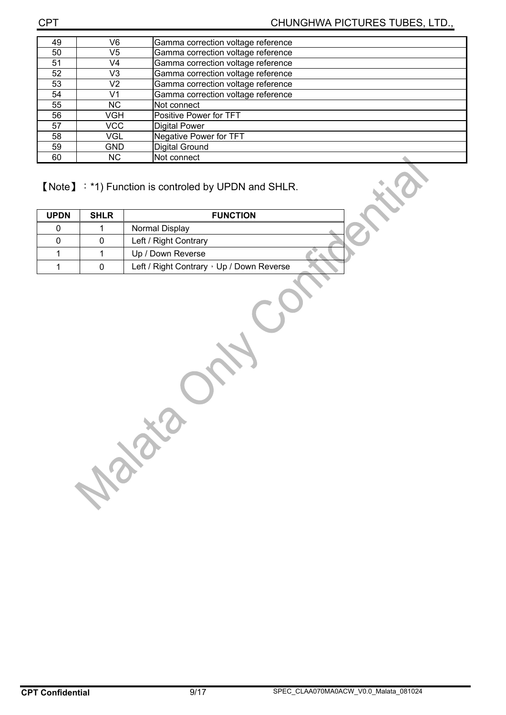| 49 | V6         | Gamma correction voltage reference |
|----|------------|------------------------------------|
| 50 | V5         | Gamma correction voltage reference |
| 51 | V4         | Gamma correction voltage reference |
| 52 | V3         | Gamma correction voltage reference |
| 53 | V2         | Gamma correction voltage reference |
| 54 | V1         | Gamma correction voltage reference |
| 55 | NC.        | Not connect                        |
| 56 | VGH        | Positive Power for TFT             |
| 57 | VCC.       | <b>Digital Power</b>               |
| 58 | <b>VGL</b> | Negative Power for TFT             |
| 59 | <b>GND</b> | <b>Digital Ground</b>              |
| 60 | NC.        | Not connect                        |

[Note] : \*1) Function is controled by UPDN and SHLR.

| UPDN | <b>SHLR</b> | <b>FUNCTION</b>                           |  |
|------|-------------|-------------------------------------------|--|
|      |             | Normal Display                            |  |
|      |             | Left / Right Contrary                     |  |
|      |             | Up / Down Reverse                         |  |
|      |             | Left / Right Contrary , Up / Down Reverse |  |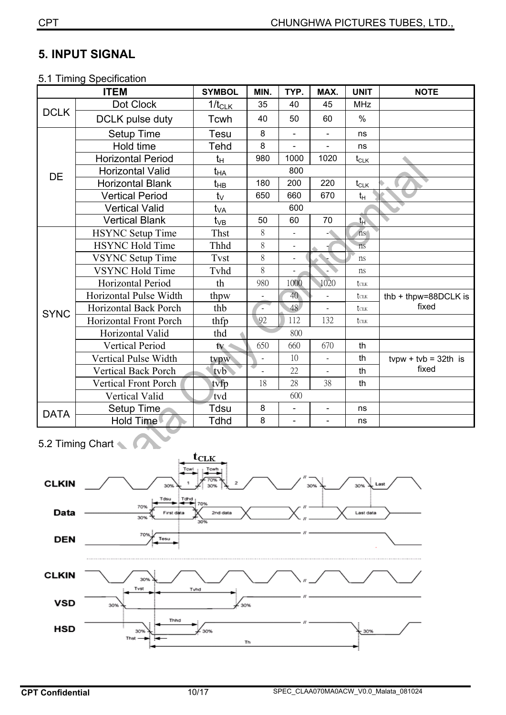## **5. INPUT SIGNAL**

#### 5.1 Timing Specification

| <b>ITEM</b> |                                          | <b>SYMBOL</b>   | MIN.           | TYP.                     | MAX.           | <b>UNIT</b>                  | <b>NOTE</b>            |  |
|-------------|------------------------------------------|-----------------|----------------|--------------------------|----------------|------------------------------|------------------------|--|
| <b>DCLK</b> | Dot Clock                                | $1/t_{CLK}$     | 35             | 40                       | 45             | <b>MHz</b>                   |                        |  |
|             | DCLK pulse duty                          | Tcwh            | 40             | 50                       | 60             | $\frac{0}{0}$                |                        |  |
| <b>DE</b>   | Setup Time                               | Tesu            | 8              | $\blacksquare$           | $\Box$         | ns                           |                        |  |
|             | Hold time                                | Tehd            | 8              | $\blacksquare$           | $\blacksquare$ | ns                           |                        |  |
|             | <b>Horizontal Period</b>                 | tн              | 980            | 1000                     | 1020           | $t_{CLK}$                    |                        |  |
|             | <b>Horizontal Valid</b>                  | t <sub>НА</sub> | 800            |                          |                |                              |                        |  |
|             | <b>Horizontal Blank</b>                  | t <sub>нв</sub> | 180            | 200                      | 220            | $t_{\scriptstyle\text{CLK}}$ |                        |  |
|             | <b>Vertical Period</b>                   | $t_{\vee}$      | 650            | 660                      | 670            | $t_H$                        |                        |  |
|             | <b>Vertical Valid</b><br>t <sub>VA</sub> |                 | 600            |                          |                |                              |                        |  |
|             | <b>Vertical Blank</b>                    | t <sub>vB</sub> | 50             | 60                       | 70             | $t_H$                        |                        |  |
|             | <b>HSYNC Setup Time</b>                  | Thst            | 8              | $\blacksquare$           | -4             | ns                           |                        |  |
|             | <b>HSYNC Hold Time</b>                   | Thhd            | 8              |                          |                | ns                           |                        |  |
|             | <b>VSYNC Setup Time</b>                  | Tvst            | 8              | $\blacksquare$           |                | ns                           |                        |  |
|             | <b>VSYNC Hold Time</b>                   | Tvhd            | 8              | $\overline{\phantom{0}}$ |                | ns                           |                        |  |
|             | Horizontal Period                        | th              | 980            | 1000                     | 1020           | tclk                         |                        |  |
| <b>SYNC</b> | Horizontal Pulse Width                   | thpw            |                | 40                       |                | tclk                         | thb + thpw=88DCLK is   |  |
|             | Horizontal Back Porch                    | thb             | $\blacksquare$ | 48                       | $\mathbf{u}$   | tclk                         | fixed                  |  |
|             | <b>Horizontal Front Porch</b>            | thfp            | 92             | 112                      | 132            | tclk                         |                        |  |
|             | Horizontal Valid                         | thd             |                | 800                      |                |                              |                        |  |
|             | <b>Vertical Period</b>                   | $t_{\rm V}$     | 650            | 660                      | 670            | th                           |                        |  |
|             | Vertical Pulse Width                     | tvpw            | $\blacksquare$ | 10                       | $\blacksquare$ | th                           | $tvpw + tvb = 32th$ is |  |
|             | <b>Vertical Back Porch</b>               | tyb             |                | 22                       | $\mathbf{r}$   | th                           | fixed                  |  |
|             | <b>Vertical Front Porch</b>              | tvfp            | 18             | 28                       | 38             | th                           |                        |  |
|             | Vertical Valid                           | tvd<br>600      |                |                          |                |                              |                        |  |
| <b>DATA</b> | Setup Time                               | Tdsu            | 8              | $\blacksquare$           | $\blacksquare$ | ns                           |                        |  |
|             | Hold Time                                | <b>Tdhd</b>     | 8              |                          |                | ns                           |                        |  |

## 5.2 Timing Chart

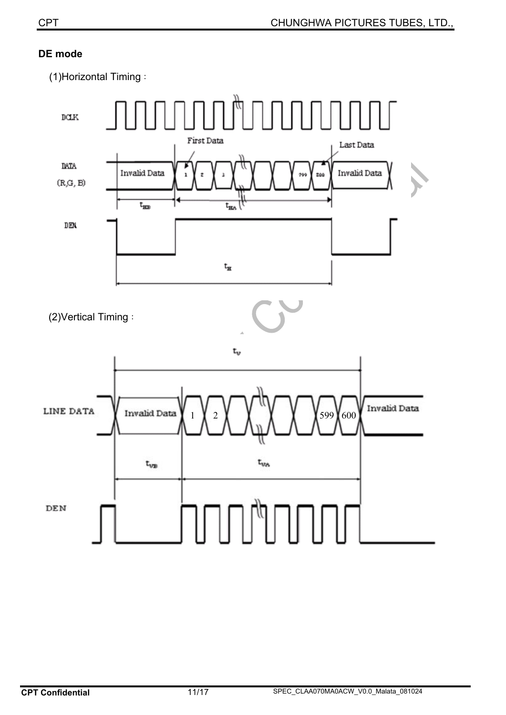### **DE mode**



(1)Horizontal Timing: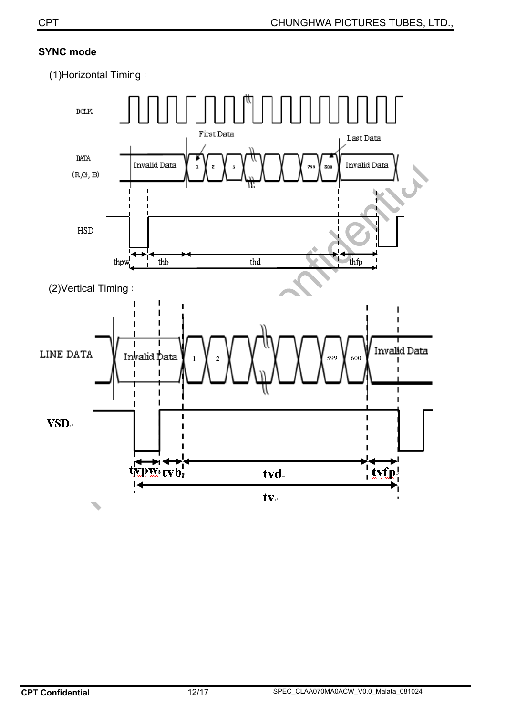#### **SYNC mode**



(1)Horizontal Timing: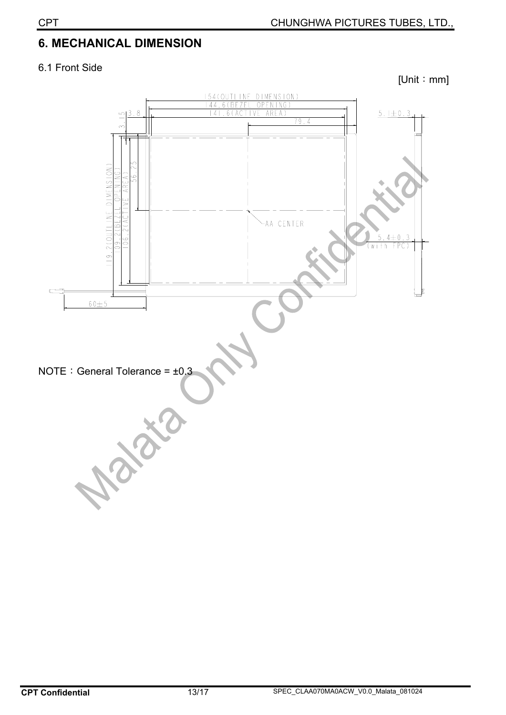## **6. MECHANICAL DIMENSION**

#### 6.1 Front Side

 $[Unit : mm]$ 

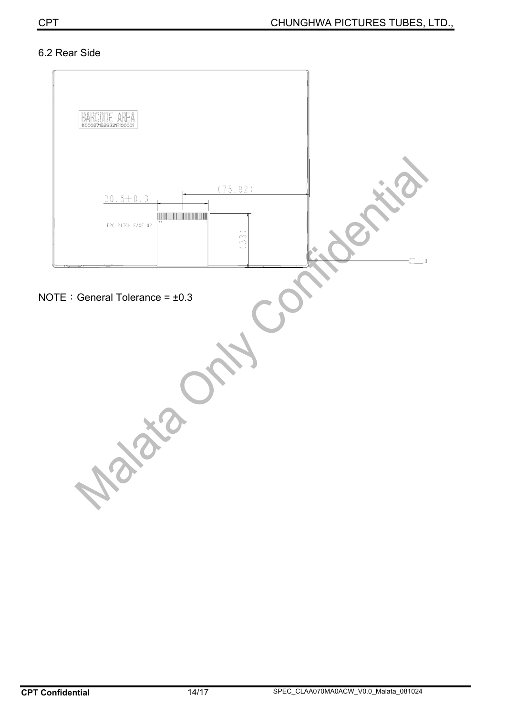#### 6.2 Rear Side

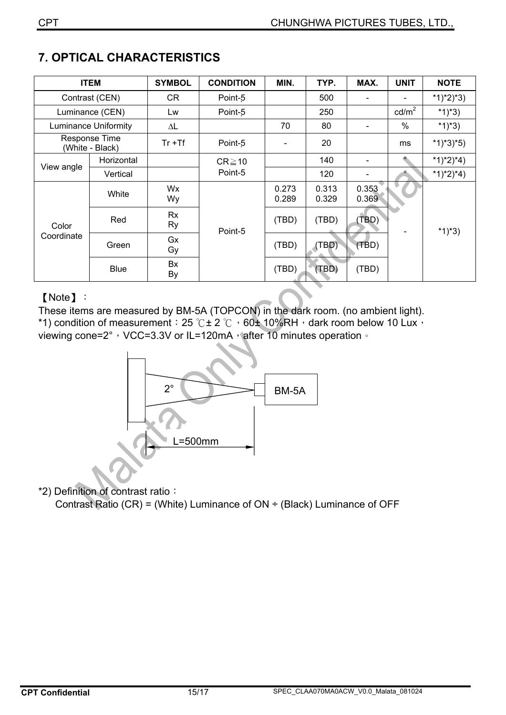| <b>ITEM</b>                 |                                  | <b>SYMBOL</b>       | <b>CONDITION</b> | MIN.           | TYP.           | MAX.                         | <b>UNIT</b>     | <b>NOTE</b> |
|-----------------------------|----------------------------------|---------------------|------------------|----------------|----------------|------------------------------|-----------------|-------------|
| Contrast (CEN)              |                                  | <b>CR</b>           | Point-5          |                | 500            | $\qquad \qquad \blacksquare$ |                 | $*1)*2)*3)$ |
| Luminance (CEN)             |                                  | Lw                  | Point-5          |                | 250            |                              | $\text{cd/m}^2$ | $*1)*3)$    |
| <b>Luminance Uniformity</b> |                                  | $\Delta \mathsf{L}$ |                  | 70             | 80             |                              | $\%$            | *1)*3)      |
|                             | Response Time<br>(White - Black) | $Tr + Tf$           | Point-5          |                | 20             |                              | ms              | $*1)*3*5)$  |
|                             | Horizontal                       |                     | $CR \ge 10$      |                | 140            |                              |                 | $*1)*2)*4)$ |
| View angle                  | Vertical                         |                     | Point-5          |                | 120            |                              |                 | $*1)*2)*4)$ |
|                             | White                            | Wx<br>Wy            |                  | 0.273<br>0.289 | 0.313<br>0.329 | 0.353<br>0.369               |                 |             |
| Color<br>Coordinate         | Red                              | <b>Rx</b><br>Ry     | Point-5          | (TBD)          | (TBD)          | (TBD)                        |                 | $*1)*3)$    |
|                             | Green                            | Gx<br>Gy            |                  | (TBD)          | (TBD)          | (TBD)                        |                 |             |

(TBD) (TBD) (TBD)

## **7. OPTICAL CHARACTERISTICS**

Blue  $\begin{array}{ccc} \text{Bx} \\ \text{By} \end{array}$ 

By

#### [Note] :

These items are measured by BM-5A (TOPCON) in the dark room. (no ambient light). \*1) condition of measurement:  $25 \text{°C} \pm 2 \text{°C}$ ,  $60\pm 10\% \text{RH}$ , dark room below 10 Lux, viewing cone=2°, VCC=3.3V or IL=120mA, after 10 minutes operation of



\*2) Definition of contrast ratio:

Contrast Ratio (CR) = (White) Luminance of  $ON \div$  (Black) Luminance of OFF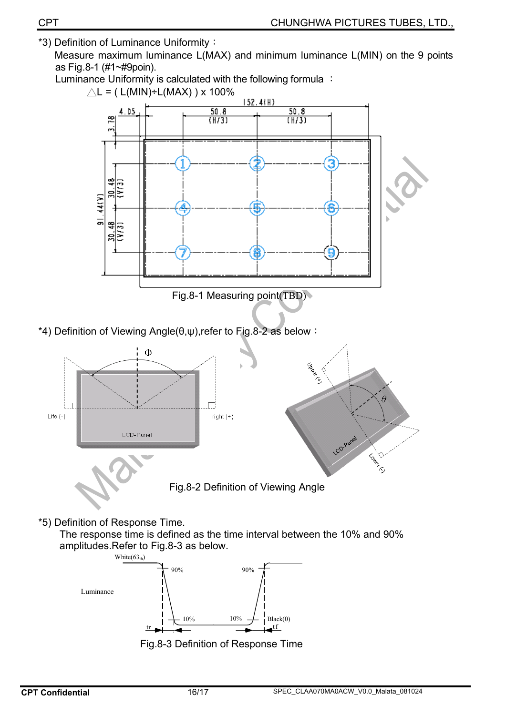- \*3) Definition of Luminance Uniformity:
	- Measure maximum luminance L(MAX) and minimum luminance L(MIN) on the 9 points as Fig.8-1 (#1~#9poin).

Luminance Uniformity is calculated with the following formula :





\*5) Definition of Response Time.

The response time is defined as the time interval between the 10% and 90% amplitudes.Refer to Fig.8-3 as below.



Fig.8-3 Definition of Response Time